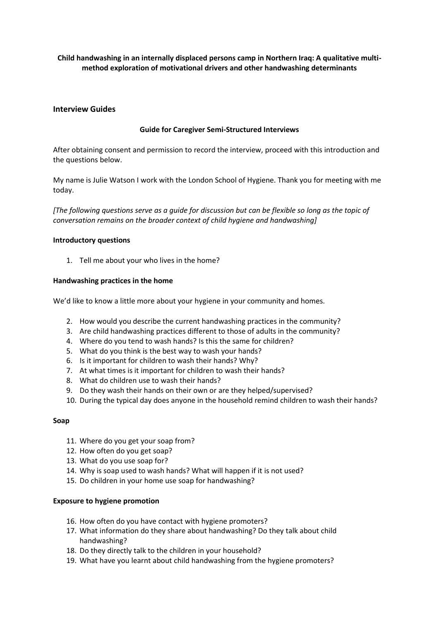# **Child handwashing in an internally displaced persons camp in Northern Iraq: A qualitative multimethod exploration of motivational drivers and other handwashing determinants**

## **Interview Guides**

## **Guide for Caregiver Semi-Structured Interviews**

After obtaining consent and permission to record the interview, proceed with this introduction and the questions below.

My name is Julie Watson I work with the London School of Hygiene. Thank you for meeting with me today.

*[The following questions serve as a guide for discussion but can be flexible so long as the topic of conversation remains on the broader context of child hygiene and handwashing]*

#### **Introductory questions**

1. Tell me about your who lives in the home?

### **Handwashing practices in the home**

We'd like to know a little more about your hygiene in your community and homes.

- 2. How would you describe the current handwashing practices in the community?
- 3. Are child handwashing practices different to those of adults in the community?
- 4. Where do you tend to wash hands? Is this the same for children?
- 5. What do you think is the best way to wash your hands?
- 6. Is it important for children to wash their hands? Why?
- 7. At what times is it important for children to wash their hands?
- 8. What do children use to wash their hands?
- 9. Do they wash their hands on their own or are they helped/supervised?
- 10. During the typical day does anyone in the household remind children to wash their hands?

### **Soap**

- 11. Where do you get your soap from?
- 12. How often do you get soap?
- 13. What do you use soap for?
- 14. Why is soap used to wash hands? What will happen if it is not used?
- 15. Do children in your home use soap for handwashing?

### **Exposure to hygiene promotion**

- 16. How often do you have contact with hygiene promoters?
- 17. What information do they share about handwashing? Do they talk about child handwashing?
- 18. Do they directly talk to the children in your household?
- 19. What have you learnt about child handwashing from the hygiene promoters?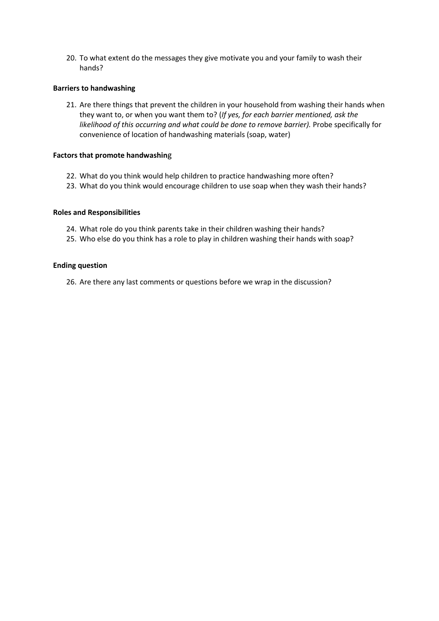20. To what extent do the messages they give motivate you and your family to wash their hands?

### **Barriers to handwashing**

21. Are there things that prevent the children in your household from washing their hands when they want to, or when you want them to? (*If yes, for each barrier mentioned, ask the likelihood of this occurring and what could be done to remove barrier).* Probe specifically for convenience of location of handwashing materials (soap, water)

### **Factors that promote handwashin**g

- 22. What do you think would help children to practice handwashing more often?
- 23. What do you think would encourage children to use soap when they wash their hands?

#### **Roles and Responsibilities**

- 24. What role do you think parents take in their children washing their hands?
- 25. Who else do you think has a role to play in children washing their hands with soap?

#### **Ending question**

26. Are there any last comments or questions before we wrap in the discussion?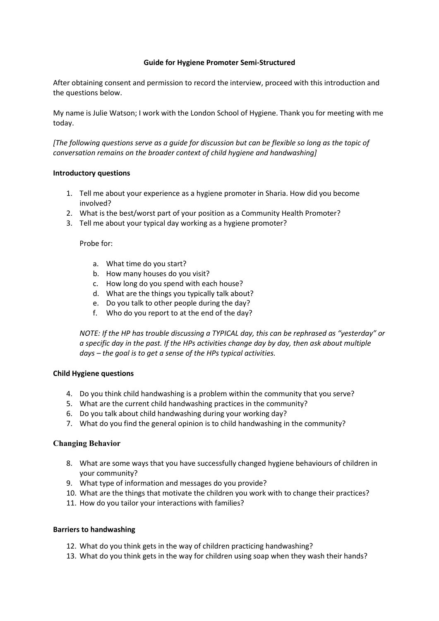## **Guide for Hygiene Promoter Semi-Structured**

After obtaining consent and permission to record the interview, proceed with this introduction and the questions below.

My name is Julie Watson; I work with the London School of Hygiene. Thank you for meeting with me today.

*[The following questions serve as a guide for discussion but can be flexible so long as the topic of conversation remains on the broader context of child hygiene and handwashing]*

### **Introductory questions**

- 1. Tell me about your experience as a hygiene promoter in Sharia. How did you become involved?
- 2. What is the best/worst part of your position as a Community Health Promoter?
- 3. Tell me about your typical day working as a hygiene promoter?

Probe for:

- a. What time do you start?
- b. How many houses do you visit?
- c. How long do you spend with each house?
- d. What are the things you typically talk about?
- e. Do you talk to other people during the day?
- f. Who do you report to at the end of the day?

*NOTE: If the HP has trouble discussing a TYPICAL day, this can be rephrased as "yesterday" or a specific day in the past. If the HPs activities change day by day, then ask about multiple days – the goal is to get a sense of the HPs typical activities.*

### **Child Hygiene questions**

- 4. Do you think child handwashing is a problem within the community that you serve?
- 5. What are the current child handwashing practices in the community?
- 6. Do you talk about child handwashing during your working day?
- 7. What do you find the general opinion is to child handwashing in the community?

### **Changing Behavior**

- 8. What are some ways that you have successfully changed hygiene behaviours of children in your community?
- 9. What type of information and messages do you provide?
- 10. What are the things that motivate the children you work with to change their practices?
- 11. How do you tailor your interactions with families?

### **Barriers to handwashing**

- 12. What do you think gets in the way of children practicing handwashing?
- 13. What do you think gets in the way for children using soap when they wash their hands?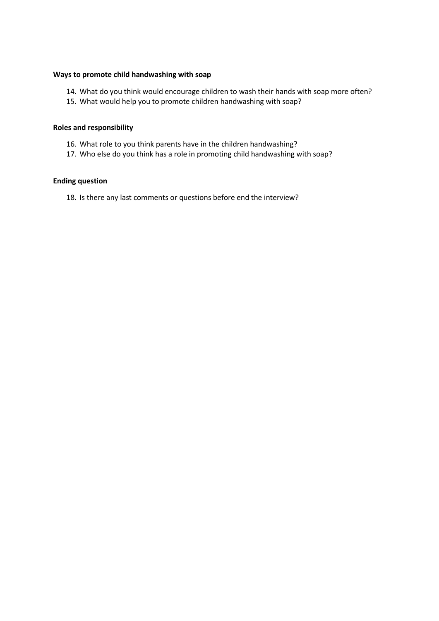### **Ways to promote child handwashing with soap**

- 14. What do you think would encourage children to wash their hands with soap more often?
- 15. What would help you to promote children handwashing with soap?

## **Roles and responsibility**

- 16. What role to you think parents have in the children handwashing?
- 17. Who else do you think has a role in promoting child handwashing with soap?

### **Ending question**

18. Is there any last comments or questions before end the interview?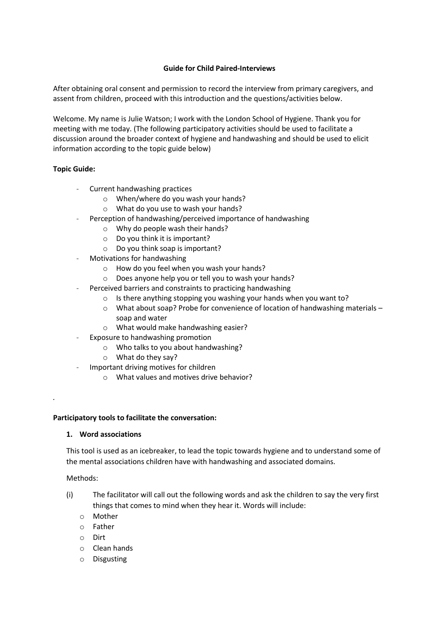## **Guide for Child Paired-Interviews**

After obtaining oral consent and permission to record the interview from primary caregivers, and assent from children, proceed with this introduction and the questions/activities below.

Welcome. My name is Julie Watson; I work with the London School of Hygiene. Thank you for meeting with me today. (The following participatory activities should be used to facilitate a discussion around the broader context of hygiene and handwashing and should be used to elicit information according to the topic guide below)

## **Topic Guide:**

- Current handwashing practices
	- o When/where do you wash your hands?
	- o What do you use to wash your hands?
	- Perception of handwashing/perceived importance of handwashing
		- o Why do people wash their hands?
		- o Do you think it is important?
		- o Do you think soap is important?
- Motivations for handwashing
	- o How do you feel when you wash your hands?
	- o Does anyone help you or tell you to wash your hands?
- Perceived barriers and constraints to practicing handwashing
	- o Is there anything stopping you washing your hands when you want to?
	- o What about soap? Probe for convenience of location of handwashing materials soap and water
	- o What would make handwashing easier?
- Exposure to handwashing promotion
	- o Who talks to you about handwashing?
	- o What do they say?
- Important driving motives for children
	- o What values and motives drive behavior?

### **Participatory tools to facilitate the conversation:**

### **1. Word associations**

This tool is used as an icebreaker, to lead the topic towards hygiene and to understand some of the mental associations children have with handwashing and associated domains.

### Methods:

*.*

- (i) The facilitator will call out the following words and ask the children to say the very first things that comes to mind when they hear it. Words will include:
	- o Mother
	- o Father
	- o Dirt
	- o Clean hands
	- o Disgusting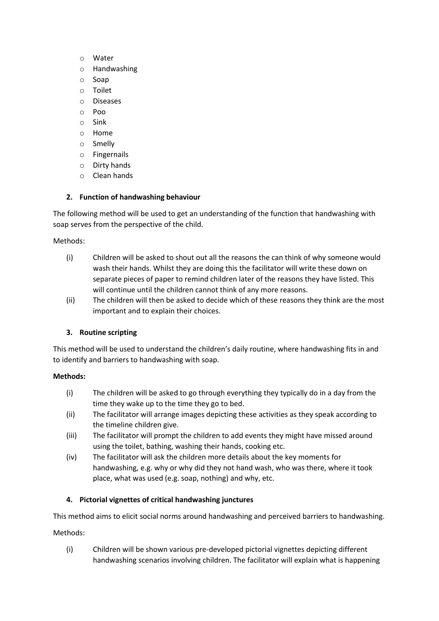- o Water
- o Handwashing
- o Soap
- o Toilet
- o Diseases
- o Poo
- o Sink
- o Home
- o Smelly
- o Fingernails
- o Dirty hands
- o Clean hands

# **2. Function of handwashing behaviour**

The following method will be used to get an understanding of the function that handwashing with soap serves from the perspective of the child.

Methods:

- (i) Children will be asked to shout out all the reasons the can think of why someone would wash their hands. Whilst they are doing this the facilitator will write these down on separate pieces of paper to remind children later of the reasons they have listed. This will continue until the children cannot think of any more reasons.
- (ii) The children will then be asked to decide which of these reasons they think are the most important and to explain their choices.

# **3. Routine scripting**

This method will be used to understand the children's daily routine, where handwashing fits in and to identify and barriers to handwashing with soap.

# **Methods:**

- (i) The children will be asked to go through everything they typically do in a day from the time they wake up to the time they go to bed.
- (ii) The facilitator will arrange images depicting these activities as they speak according to the timeline children give.
- (iii) The facilitator will prompt the children to add events they might have missed around using the toilet, bathing, washing their hands, cooking etc.
- (iv) The facilitator will ask the children more details about the key moments for handwashing, e.g. why or why did they not hand wash, who was there, where it took place, what was used (e.g. soap, nothing) and why, etc.

# **4. Pictorial vignettes of critical handwashing junctures**

This method aims to elicit social norms around handwashing and perceived barriers to handwashing.

# Methods:

(i) Children will be shown various pre-developed pictorial vignettes depicting different handwashing scenarios involving children. The facilitator will explain what is happening